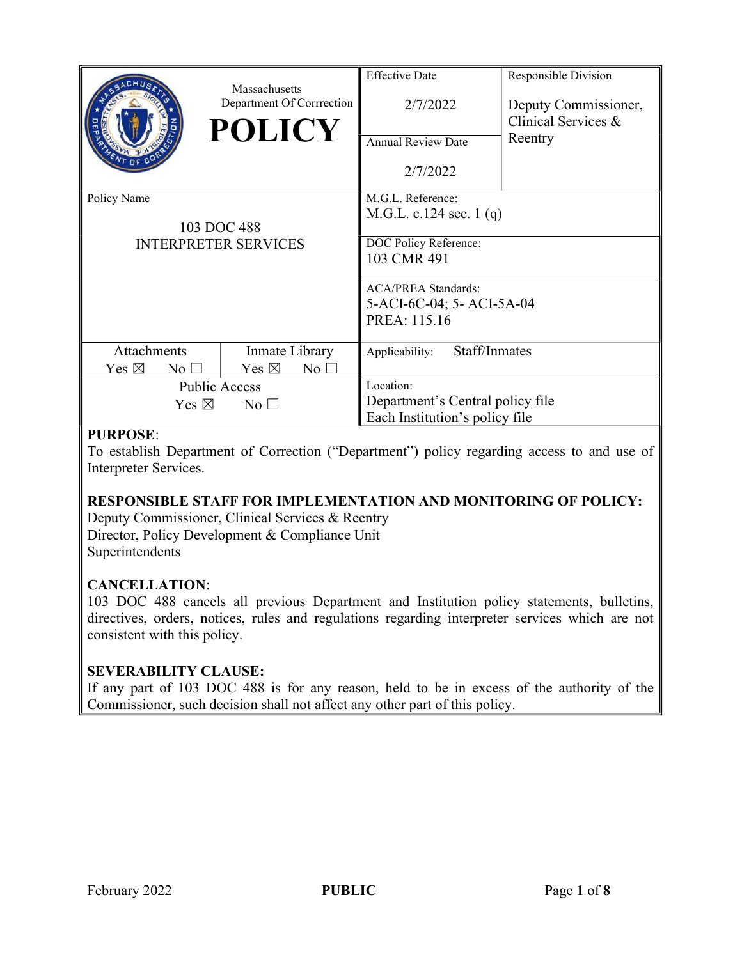|                                                           | Massachusetts<br>Department Of Corrrection<br><b>POLICY</b> | <b>Effective Date</b><br>2/7/2022<br><b>Annual Review Date</b><br>2/7/2022                                                                                       | Responsible Division<br>Deputy Commissioner,<br>Clinical Services &<br>Reentry |
|-----------------------------------------------------------|-------------------------------------------------------------|------------------------------------------------------------------------------------------------------------------------------------------------------------------|--------------------------------------------------------------------------------|
| Policy Name<br>103 DOC 488<br><b>INTERPRETER SERVICES</b> |                                                             | M.G.L. Reference:<br>M.G.L. c.124 sec. 1 $(q)$<br>DOC Policy Reference:<br>103 CMR 491<br><b>ACA/PREA Standards:</b><br>5-ACI-6C-04; 5-ACI-5A-04<br>PREA: 115.16 |                                                                                |
| Attachments<br>Yes $\boxtimes$<br>$No$ $\square$          | Inmate Library<br>Yes $\boxtimes$<br>No <sub>1</sub>        | Staff/Inmates<br>Applicability:                                                                                                                                  |                                                                                |
| <b>Public Access</b><br>Yes $\boxtimes$<br>No $\square$   |                                                             | Location:<br>Department's Central policy file<br>Each Institution's policy file                                                                                  |                                                                                |

# PURPOSE:

To establish Department of Correction ("Department") policy regarding access to and use of Interpreter Services.

# RESPONSIBLE STAFF FOR IMPLEMENTATION AND MONITORING OF POLICY:

Deputy Commissioner, Clinical Services & Reentry Director, Policy Development & Compliance Unit Superintendents

# CANCELLATION:

103 DOC 488 cancels all previous Department and Institution policy statements, bulletins, directives, orders, notices, rules and regulations regarding interpreter services which are not consistent with this policy.

# SEVERABILITY CLAUSE:

If any part of 103 DOC 488 is for any reason, held to be in excess of the authority of the Commissioner, such decision shall not affect any other part of this policy.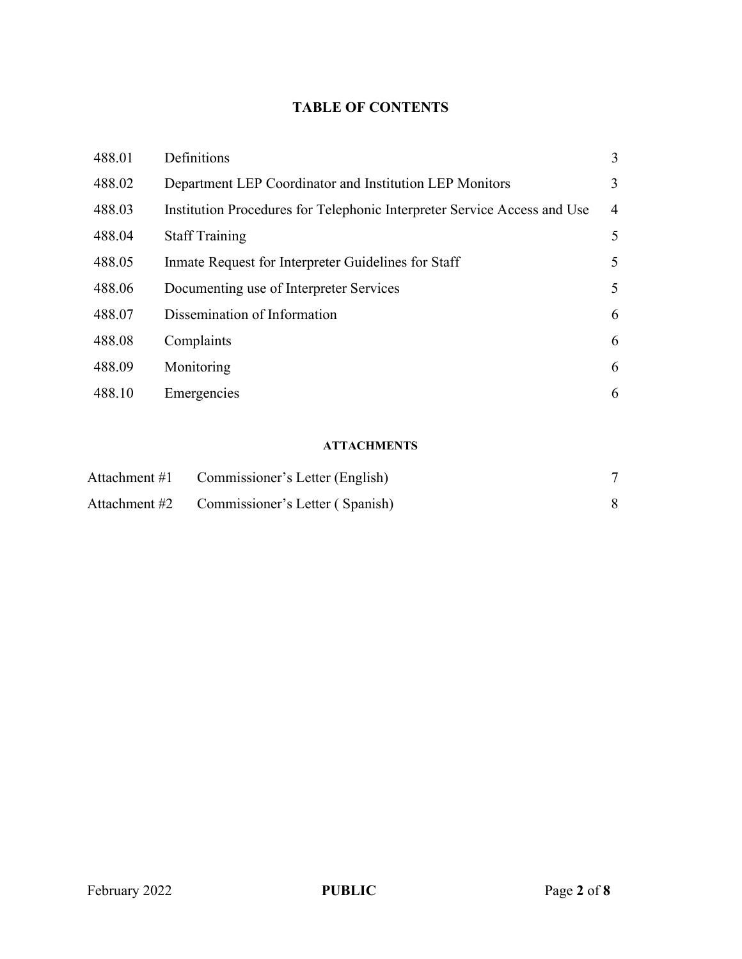# TABLE OF CONTENTS

| 488.01 | Definitions                                                              | 3              |
|--------|--------------------------------------------------------------------------|----------------|
| 488.02 | Department LEP Coordinator and Institution LEP Monitors                  | 3              |
| 488.03 | Institution Procedures for Telephonic Interpreter Service Access and Use | $\overline{4}$ |
| 488.04 | <b>Staff Training</b>                                                    | 5              |
| 488.05 | Inmate Request for Interpreter Guidelines for Staff                      | 5              |
| 488.06 | Documenting use of Interpreter Services                                  | 5              |
| 488.07 | Dissemination of Information                                             | 6              |
| 488.08 | Complaints                                                               | 6              |
| 488.09 | Monitoring                                                               | 6              |
| 488.10 | Emergencies                                                              | 6              |

#### ATTACHMENTS

| Attachment #1 Commissioner's Letter (English) |  |
|-----------------------------------------------|--|
| Attachment #2 Commissioner's Letter (Spanish) |  |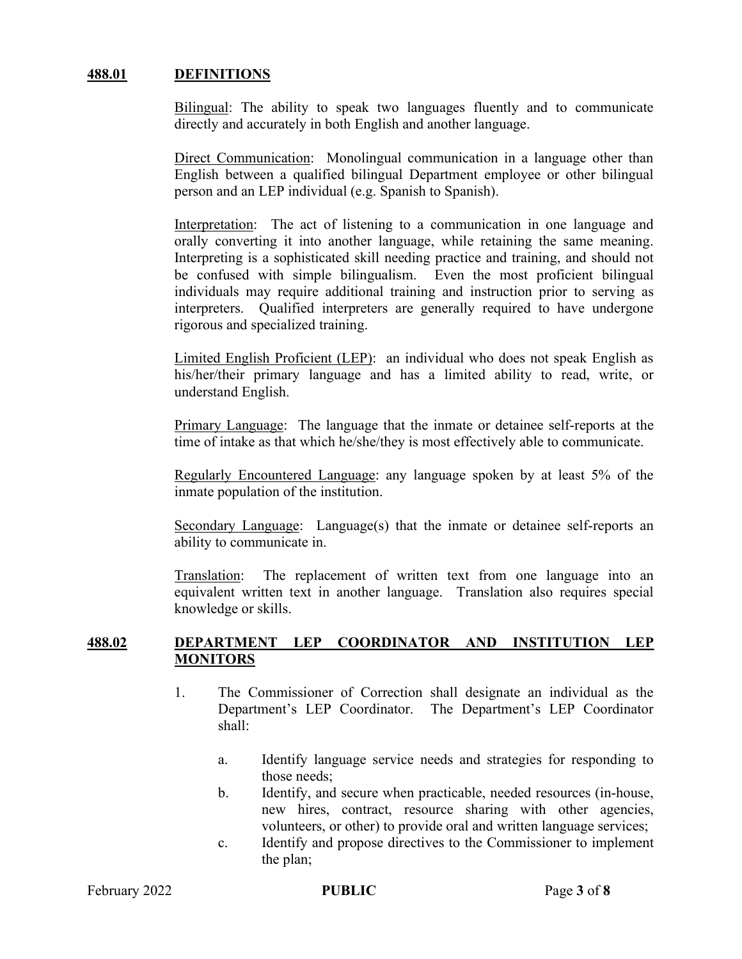#### 488.01 DEFINITIONS

Bilingual: The ability to speak two languages fluently and to communicate directly and accurately in both English and another language.

Direct Communication: Monolingual communication in a language other than English between a qualified bilingual Department employee or other bilingual person and an LEP individual (e.g. Spanish to Spanish).

Interpretation: The act of listening to a communication in one language and orally converting it into another language, while retaining the same meaning. Interpreting is a sophisticated skill needing practice and training, and should not be confused with simple bilingualism. Even the most proficient bilingual individuals may require additional training and instruction prior to serving as interpreters. Qualified interpreters are generally required to have undergone rigorous and specialized training.

Limited English Proficient (LEP): an individual who does not speak English as his/her/their primary language and has a limited ability to read, write, or understand English.

Primary Language: The language that the inmate or detainee self-reports at the time of intake as that which he/she/they is most effectively able to communicate.

Regularly Encountered Language: any language spoken by at least 5% of the inmate population of the institution.

Secondary Language: Language(s) that the inmate or detainee self-reports an ability to communicate in.

Translation: The replacement of written text from one language into an equivalent written text in another language. Translation also requires special knowledge or skills.

### 488.02 DEPARTMENT LEP COORDINATOR AND INSTITUTION LEP **MONITORS**

- 1. The Commissioner of Correction shall designate an individual as the Department's LEP Coordinator. The Department's LEP Coordinator shall:
	- a. Identify language service needs and strategies for responding to those needs;
	- b. Identify, and secure when practicable, needed resources (in-house, new hires, contract, resource sharing with other agencies, volunteers, or other) to provide oral and written language services;
	- c. Identify and propose directives to the Commissioner to implement the plan;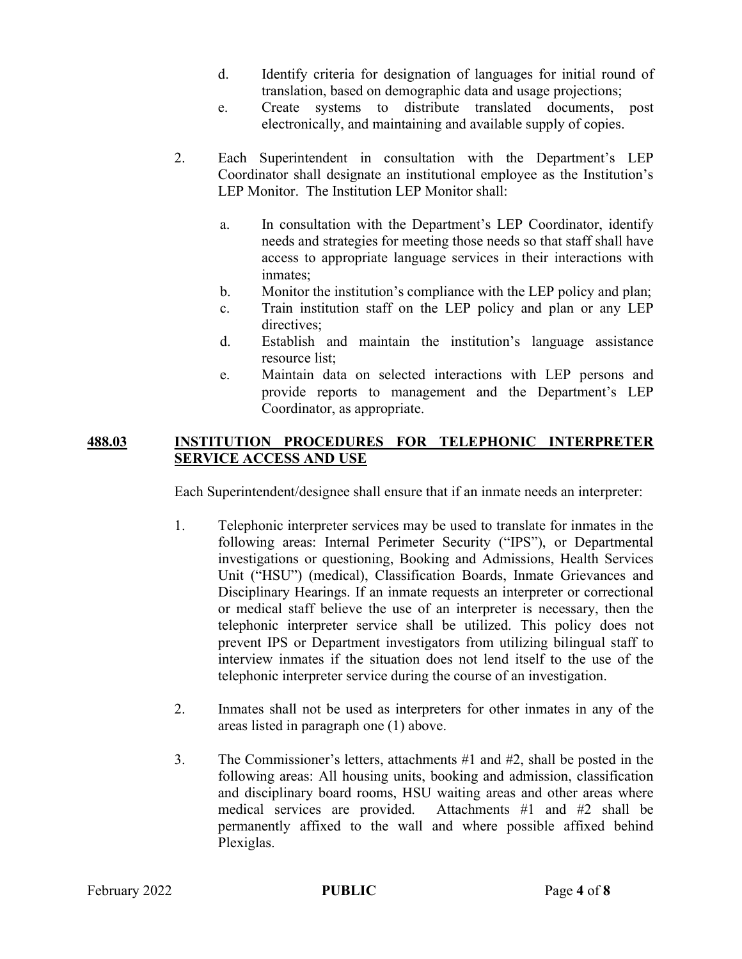- d. Identify criteria for designation of languages for initial round of translation, based on demographic data and usage projections;
- e. Create systems to distribute translated documents, post electronically, and maintaining and available supply of copies.
- 2. Each Superintendent in consultation with the Department's LEP Coordinator shall designate an institutional employee as the Institution's LEP Monitor. The Institution LEP Monitor shall:
	- a. In consultation with the Department's LEP Coordinator, identify needs and strategies for meeting those needs so that staff shall have access to appropriate language services in their interactions with inmates;
	- b. Monitor the institution's compliance with the LEP policy and plan;
	- c. Train institution staff on the LEP policy and plan or any LEP directives;
	- d. Establish and maintain the institution's language assistance resource list;
	- e. Maintain data on selected interactions with LEP persons and provide reports to management and the Department's LEP Coordinator, as appropriate.

# 488.03 INSTITUTION PROCEDURES FOR TELEPHONIC INTERPRETER SERVICE ACCESS AND USE

Each Superintendent/designee shall ensure that if an inmate needs an interpreter:

- 1. Telephonic interpreter services may be used to translate for inmates in the following areas: Internal Perimeter Security ("IPS"), or Departmental investigations or questioning, Booking and Admissions, Health Services Unit ("HSU") (medical), Classification Boards, Inmate Grievances and Disciplinary Hearings. If an inmate requests an interpreter or correctional or medical staff believe the use of an interpreter is necessary, then the telephonic interpreter service shall be utilized. This policy does not prevent IPS or Department investigators from utilizing bilingual staff to interview inmates if the situation does not lend itself to the use of the telephonic interpreter service during the course of an investigation.
- 2. Inmates shall not be used as interpreters for other inmates in any of the areas listed in paragraph one (1) above.
- 3. The Commissioner's letters, attachments #1 and #2, shall be posted in the following areas: All housing units, booking and admission, classification and disciplinary board rooms, HSU waiting areas and other areas where medical services are provided. Attachments #1 and #2 shall be permanently affixed to the wall and where possible affixed behind Plexiglas.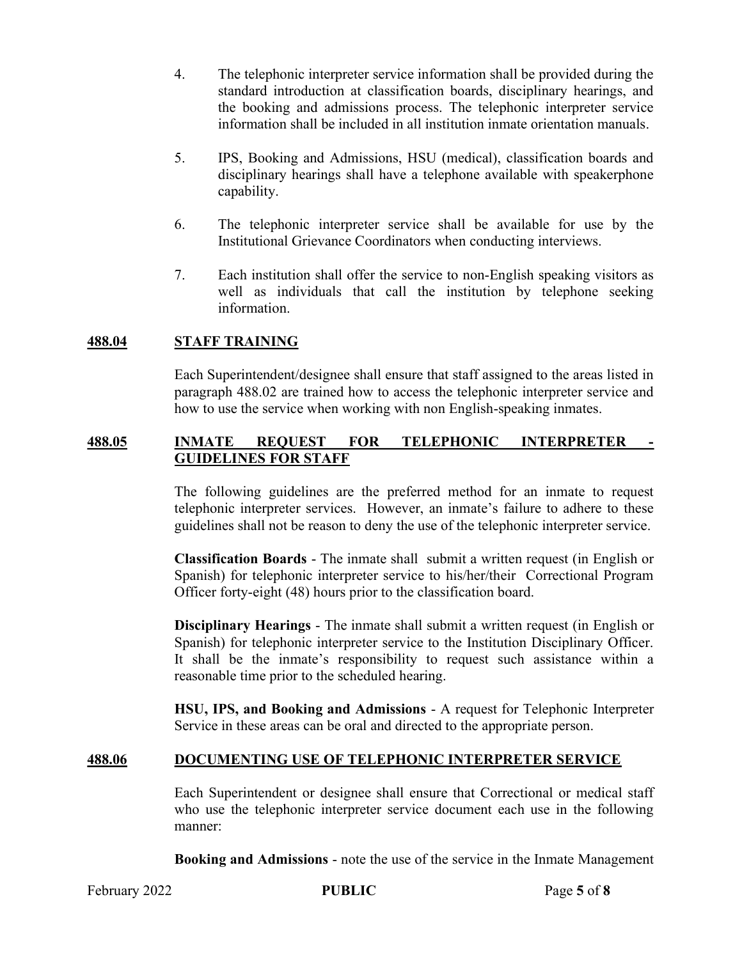- 4. The telephonic interpreter service information shall be provided during the standard introduction at classification boards, disciplinary hearings, and the booking and admissions process. The telephonic interpreter service information shall be included in all institution inmate orientation manuals.
- 5. IPS, Booking and Admissions, HSU (medical), classification boards and disciplinary hearings shall have a telephone available with speakerphone capability.
- 6. The telephonic interpreter service shall be available for use by the Institutional Grievance Coordinators when conducting interviews.
- 7. Each institution shall offer the service to non-English speaking visitors as well as individuals that call the institution by telephone seeking information.

# 488.04 STAFF TRAINING

Each Superintendent/designee shall ensure that staff assigned to the areas listed in paragraph 488.02 are trained how to access the telephonic interpreter service and how to use the service when working with non English-speaking inmates.

# 488.05 INMATE REQUEST FOR TELEPHONIC INTERPRETER GUIDELINES FOR STAFF

The following guidelines are the preferred method for an inmate to request telephonic interpreter services. However, an inmate's failure to adhere to these guidelines shall not be reason to deny the use of the telephonic interpreter service.

Classification Boards - The inmate shall submit a written request (in English or Spanish) for telephonic interpreter service to his/her/their Correctional Program Officer forty-eight (48) hours prior to the classification board.

Disciplinary Hearings - The inmate shall submit a written request (in English or Spanish) for telephonic interpreter service to the Institution Disciplinary Officer. It shall be the inmate's responsibility to request such assistance within a reasonable time prior to the scheduled hearing.

HSU, IPS, and Booking and Admissions - A request for Telephonic Interpreter Service in these areas can be oral and directed to the appropriate person.

### 488.06 DOCUMENTING USE OF TELEPHONIC INTERPRETER SERVICE

Each Superintendent or designee shall ensure that Correctional or medical staff who use the telephonic interpreter service document each use in the following manner:

Booking and Admissions - note the use of the service in the Inmate Management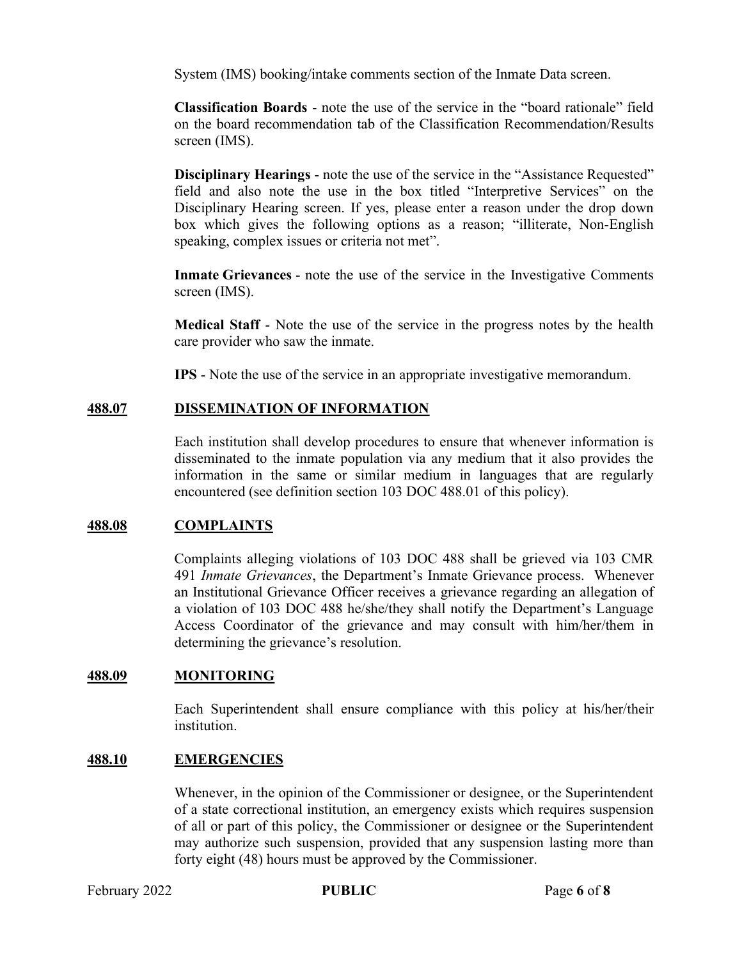System (IMS) booking/intake comments section of the Inmate Data screen.

Classification Boards - note the use of the service in the "board rationale" field on the board recommendation tab of the Classification Recommendation/Results screen (IMS).

Disciplinary Hearings - note the use of the service in the "Assistance Requested" field and also note the use in the box titled "Interpretive Services" on the Disciplinary Hearing screen. If yes, please enter a reason under the drop down box which gives the following options as a reason; "illiterate, Non-English speaking, complex issues or criteria not met".

Inmate Grievances - note the use of the service in the Investigative Comments screen (IMS).

Medical Staff - Note the use of the service in the progress notes by the health care provider who saw the inmate.

IPS - Note the use of the service in an appropriate investigative memorandum.

### 488.07 DISSEMINATION OF INFORMATION

Each institution shall develop procedures to ensure that whenever information is disseminated to the inmate population via any medium that it also provides the information in the same or similar medium in languages that are regularly encountered (see definition section 103 DOC 488.01 of this policy).

### 488.08 COMPLAINTS

Complaints alleging violations of 103 DOC 488 shall be grieved via 103 CMR 491 Inmate Grievances, the Department's Inmate Grievance process. Whenever an Institutional Grievance Officer receives a grievance regarding an allegation of a violation of 103 DOC 488 he/she/they shall notify the Department's Language Access Coordinator of the grievance and may consult with him/her/them in determining the grievance's resolution.

#### 488.09 MONITORING

Each Superintendent shall ensure compliance with this policy at his/her/their institution.

#### 488.10 EMERGENCIES

Whenever, in the opinion of the Commissioner or designee, or the Superintendent of a state correctional institution, an emergency exists which requires suspension of all or part of this policy, the Commissioner or designee or the Superintendent may authorize such suspension, provided that any suspension lasting more than forty eight (48) hours must be approved by the Commissioner.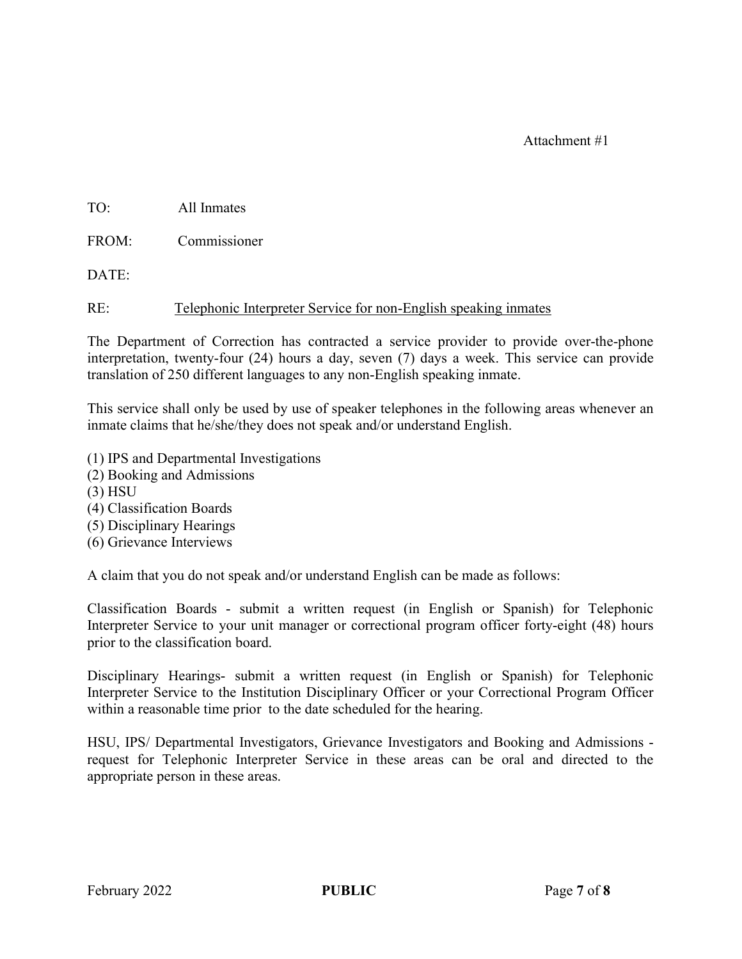# Attachment #1

TO: All Inmates

FROM: Commissioner

DATE:

RE: Telephonic Interpreter Service for non-English speaking inmates

The Department of Correction has contracted a service provider to provide over-the-phone interpretation, twenty-four (24) hours a day, seven (7) days a week. This service can provide translation of 250 different languages to any non-English speaking inmate.

This service shall only be used by use of speaker telephones in the following areas whenever an inmate claims that he/she/they does not speak and/or understand English.

- (1) IPS and Departmental Investigations
- (2) Booking and Admissions
- (3) HSU
- (4) Classification Boards
- (5) Disciplinary Hearings
- (6) Grievance Interviews

A claim that you do not speak and/or understand English can be made as follows:

Classification Boards - submit a written request (in English or Spanish) for Telephonic Interpreter Service to your unit manager or correctional program officer forty-eight (48) hours prior to the classification board.

Disciplinary Hearings- submit a written request (in English or Spanish) for Telephonic Interpreter Service to the Institution Disciplinary Officer or your Correctional Program Officer within a reasonable time prior to the date scheduled for the hearing.

HSU, IPS/ Departmental Investigators, Grievance Investigators and Booking and Admissions request for Telephonic Interpreter Service in these areas can be oral and directed to the appropriate person in these areas.